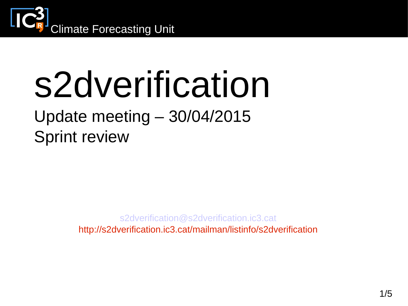

# s2dverification

#### Update meeting – 30/04/2015 Sprint review

[s2dverification@s2dverification.ic3.cat](mailto:s2dverification@s2dverification.ic3.cat)

http://s2dverification.ic3.cat/mailman/listinfo/s2dverification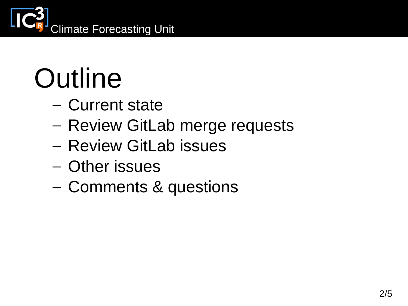

## **Outline**

- Current state
- Review GitLab merge requests
- Review GitLab issues
- Other issues
- Comments & questions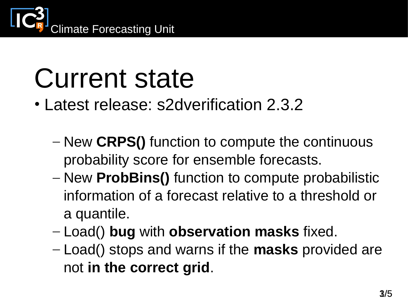

#### Current state

- Latest release: s2dverification 2.3.2
	- New **CRPS()** function to compute the continuous probability score for ensemble forecasts.
	- New **ProbBins()** function to compute probabilistic information of a forecast relative to a threshold or a quantile.
	- Load() **bug** with **observation masks** fixed.
	- Load() stops and warns if the **masks** provided are not **in the correct grid**.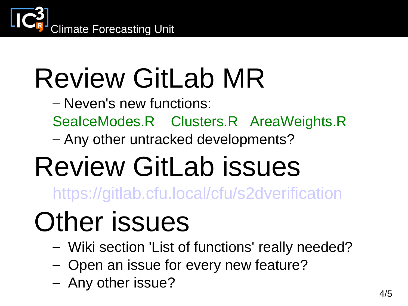

## Review GitLab MR

- Neven's new functions:
- SeaIceModes.R Clusters.R AreaWeights.R
- Any other untracked developments?

### Review GitLab issues

<https://gitlab.cfu.local/cfu/s2dverification>

#### Other issues

- Wiki section 'List of functions' really needed?
- Open an issue for every new feature?
- Any other issue?